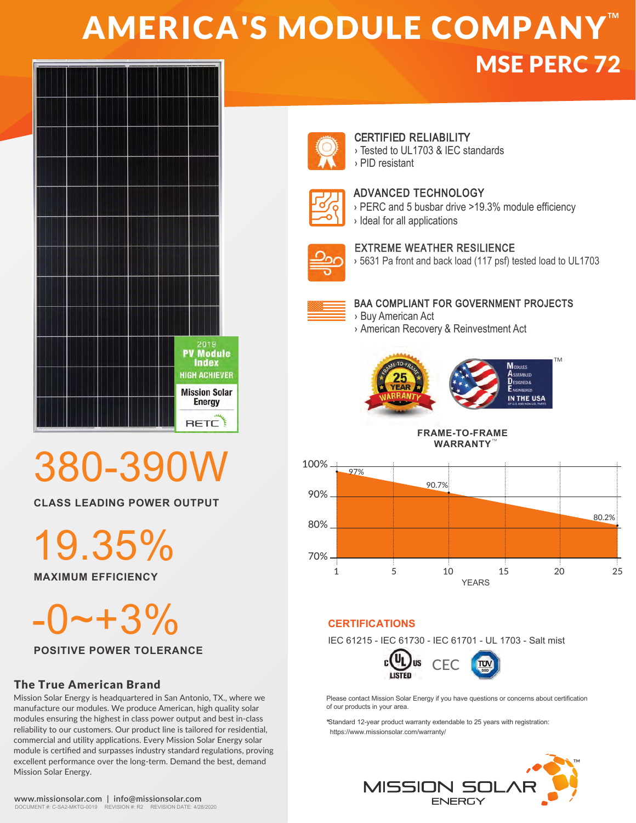## **AMERICA'S MODULE COMPANY™** MSE PERC 72



# 380-390

**CLASS LEADING POWER OUTPUT**

19.35%

**MAXIMUM EFFICIENCY**

 $0 - +3\%$ 

**POSITIVE POWER TOLERANCE**

## The True American Brand

Mission Solar Energy is headquartered in San Antonio, TX., where we manufacture our modules. We produce American, high quality solar modules ensuring the highest in class power output and best in-class reliability to our customers. Our product line is tailored for residential, commercial and utility applications. Every Mission Solar Energy solar module is certified and surpasses industry standard regulations, proving excellent performance over the long-term. Demand the best, demand Mission Solar Energy.



## CERTIFIED RELIABILITY

› Tested to UL1703 & IEC standards › PID resistant



## ADVANCED TECHNOLOGY

- › PERC and 5 busbar drive >19.3% module efficiency
- › Ideal for all applications

## EXTREME WEATHER RESILIENCE

› 5631 Pa front and back load (117 psf) tested load to UL1703



## BAA COMPLIANT FOR GOVERNMENT PROJECTS

› Buy American Act › American Recovery & Reinvestment Act



**FRAME-TO-FRAME WARRANTY** TM



## **CERTIFICATIONS**

IEC 61215 - IEC 61730 - IEC 61701 - UL 1703 - Salt mist



Please contact Mission Solar Energy if you have questions or concerns about certification of our products in your area.

\*Standard 12-year product warranty extendable to 25 years with registration: https://www.missionsolar.com/warranty/